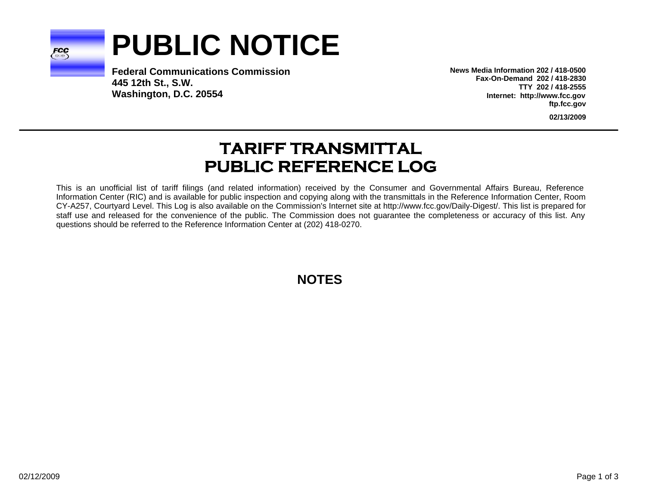

# **PUBLIC NOTICE**

**Federal Communications Commission445 12th St., S.W. Washington, D.C. 20554**

**News Media Information 202 / 418-0500Fax-On-Demand 202 / 418-2830TTY 202 / 418-2555Internet: http://www.fcc.gov ftp.fcc.gov**

**02/13/2009**

## **TARIFF TRANSMITTAL PUBLIC REFERENCE LOG**

This is an unofficial list of tariff filings (and related information) received by the Consumer and Governmental Affairs Bureau, Reference Information Center (RIC) and is available for public inspection and copying along with the transmittals in the Reference Information Center, Room CY-A257, Courtyard Level. This Log is also available on the Commission's Internet site at http://www.fcc.gov/Daily-Digest/. This list is prepared for staff use and released for the convenience of the public. The Commission does not guarantee the completeness or accuracy of this list. Any questions should be referred to the Reference Information Center at (202) 418-0270.

**NOTES**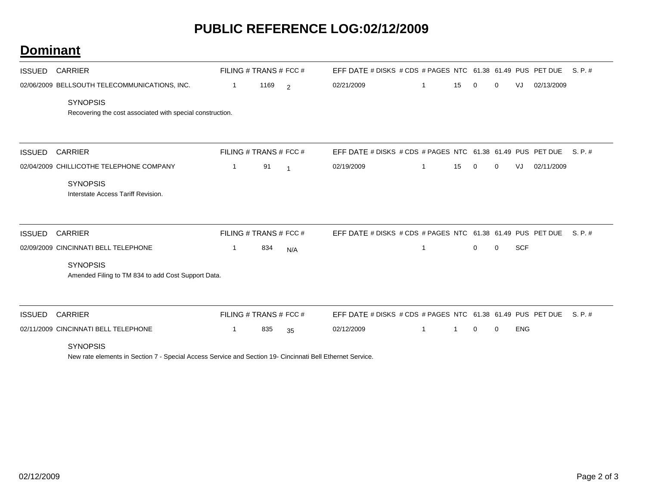### **PUBLIC REFERENCE LOG:02/12/2009**

#### **Dominant**

| ISSUED        | <b>CARRIER</b>                                                               |              | FILING # TRANS # FCC # |                | EFF DATE # DISKS # CDS # PAGES NTC 61.38 61.49 PUS PET DUE |   |    |              |             |            |            | S. P. # |
|---------------|------------------------------------------------------------------------------|--------------|------------------------|----------------|------------------------------------------------------------|---|----|--------------|-------------|------------|------------|---------|
|               | 02/06/2009 BELLSOUTH TELECOMMUNICATIONS, INC.                                | -1           | 1169                   | $\overline{2}$ | 02/21/2009                                                 | 1 | 15 | 0            | 0           | VJ         | 02/13/2009 |         |
|               | <b>SYNOPSIS</b><br>Recovering the cost associated with special construction. |              |                        |                |                                                            |   |    |              |             |            |            |         |
| <b>ISSUED</b> | <b>CARRIER</b>                                                               |              | FILING # TRANS # FCC # |                | EFF DATE # DISKS # CDS # PAGES NTC 61.38 61.49 PUS PET DUE |   |    |              |             |            |            | S.P.#   |
|               | 02/04/2009 CHILLICOTHE TELEPHONE COMPANY                                     | $\mathbf{1}$ | 91                     | $\overline{1}$ | 02/19/2009                                                 | 1 | 15 | $\mathbf{0}$ | 0           | VJ         | 02/11/2009 |         |
|               | <b>SYNOPSIS</b><br>Interstate Access Tariff Revision.                        |              |                        |                |                                                            |   |    |              |             |            |            |         |
| <b>ISSUED</b> | <b>CARRIER</b>                                                               |              | FILING # TRANS # FCC # |                | EFF DATE # DISKS # CDS # PAGES NTC 61.38 61.49 PUS PET DUE |   |    |              |             |            |            | S. P. # |
|               | 02/09/2009 CINCINNATI BELL TELEPHONE                                         | 1            | 834                    | N/A            |                                                            | 1 |    | $\mathbf{0}$ | $\mathbf 0$ | <b>SCF</b> |            |         |
|               | <b>SYNOPSIS</b><br>Amended Filing to TM 834 to add Cost Support Data.        |              |                        |                |                                                            |   |    |              |             |            |            |         |
| <b>ISSUED</b> | <b>CARRIER</b>                                                               |              | FILING # TRANS # FCC # |                | EFF DATE # DISKS # CDS # PAGES NTC 61.38 61.49 PUS PET DUE |   |    |              |             |            |            | S. P. # |
|               | 02/11/2009 CINCINNATI BELL TELEPHONE                                         | 1            | 835                    | 35             | 02/12/2009                                                 |   |    | $\mathbf 0$  | $\mathbf 0$ | <b>ENG</b> |            |         |
|               | <b>SYNOPSIS</b>                                                              |              |                        |                |                                                            |   |    |              |             |            |            |         |

New rate elements in Section 7 - Special Access Service and Section 19- Cincinnati Bell Ethernet Service.